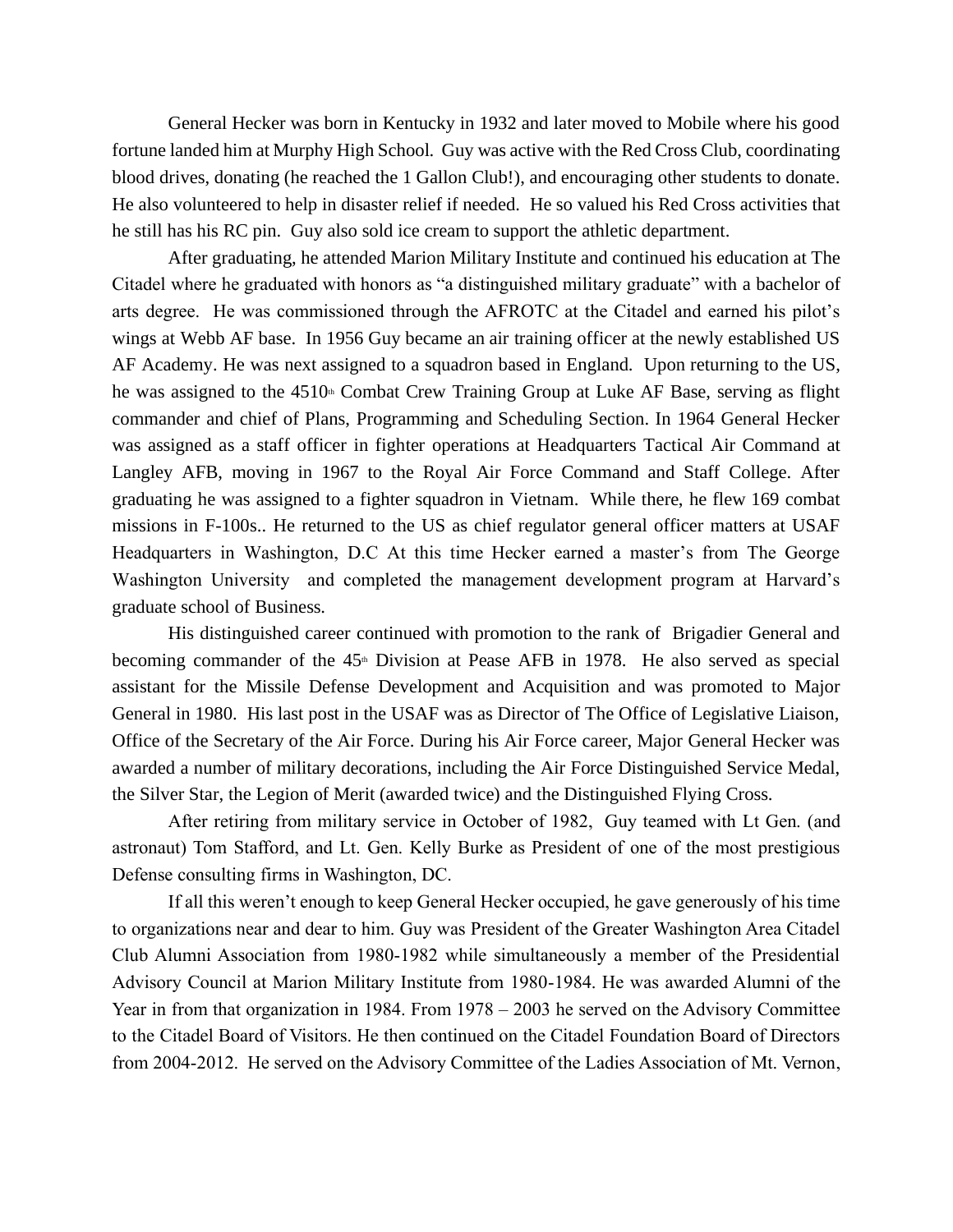General Hecker was born in Kentucky in 1932 and later moved to Mobile where his good fortune landed him at Murphy High School. Guy was active with the Red Cross Club, coordinating blood drives, donating (he reached the 1 Gallon Club!), and encouraging other students to donate. He also volunteered to help in disaster relief if needed. He so valued his Red Cross activities that he still has his RC pin. Guy also sold ice cream to support the athletic department.

After graduating, he attended Marion Military Institute and continued his education at The Citadel where he graduated with honors as "a distinguished military graduate" with a bachelor of arts degree. He was commissioned through the AFROTC at the Citadel and earned his pilot's wings at Webb AF base. In 1956 Guy became an air training officer at the newly established US AF Academy. He was next assigned to a squadron based in England. Upon returning to the US, he was assigned to the  $4510<sup>th</sup>$  Combat Crew Training Group at Luke AF Base, serving as flight commander and chief of Plans, Programming and Scheduling Section. In 1964 General Hecker was assigned as a staff officer in fighter operations at Headquarters Tactical Air Command at Langley AFB, moving in 1967 to the Royal Air Force Command and Staff College. After graduating he was assigned to a fighter squadron in Vietnam. While there, he flew 169 combat missions in F-100s.. He returned to the US as chief regulator general officer matters at USAF Headquarters in Washington, D.C At this time Hecker earned a master's from The George Washington University and completed the management development program at Harvard's graduate school of Business.

His distinguished career continued with promotion to the rank of Brigadier General and becoming commander of the  $45<sup>th</sup>$  Division at Pease AFB in 1978. He also served as special assistant for the Missile Defense Development and Acquisition and was promoted to Major General in 1980. His last post in the USAF was as Director of The Office of Legislative Liaison, Office of the Secretary of the Air Force. During his Air Force career, Major General Hecker was awarded a number of military decorations, including the Air Force Distinguished Service Medal, the Silver Star, the Legion of Merit (awarded twice) and the Distinguished Flying Cross.

After retiring from military service in October of 1982, Guy teamed with Lt Gen. (and astronaut) Tom Stafford, and Lt. Gen. Kelly Burke as President of one of the most prestigious Defense consulting firms in Washington, DC.

If all this weren't enough to keep General Hecker occupied, he gave generously of his time to organizations near and dear to him. Guy was President of the Greater Washington Area Citadel Club Alumni Association from 1980-1982 while simultaneously a member of the Presidential Advisory Council at Marion Military Institute from 1980-1984. He was awarded Alumni of the Year in from that organization in 1984. From 1978 – 2003 he served on the Advisory Committee to the Citadel Board of Visitors. He then continued on the Citadel Foundation Board of Directors from 2004-2012. He served on the Advisory Committee of the Ladies Association of Mt. Vernon,